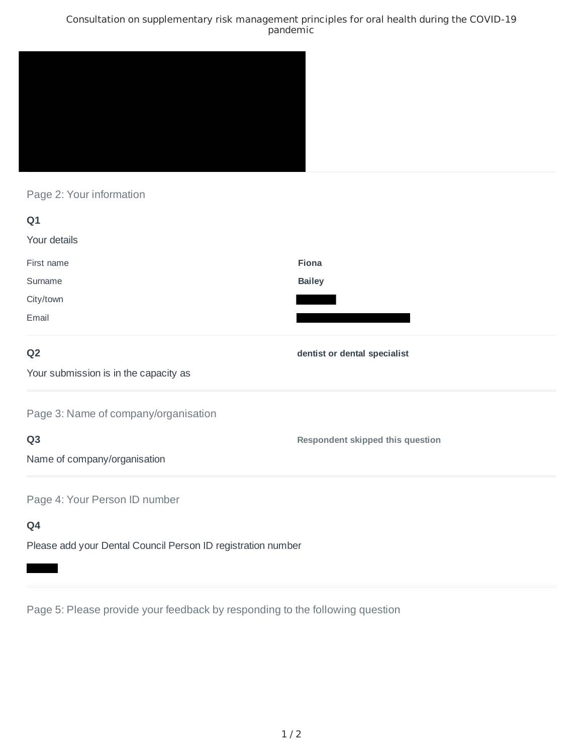## Consultation on supplementary risk management principles for oral health during the COVID-19 pandemic



Page 2: Your information

| Q1                                    |                                         |
|---------------------------------------|-----------------------------------------|
| Your details                          |                                         |
| First name                            | Fiona                                   |
| Surname                               | <b>Bailey</b>                           |
| City/town                             |                                         |
| Email                                 |                                         |
| Q <sub>2</sub>                        | dentist or dental specialist            |
| Your submission is in the capacity as |                                         |
| Page 3: Name of company/organisation  |                                         |
| Q <sub>3</sub>                        | <b>Respondent skipped this question</b> |
| Name of company/organisation          |                                         |
| Page 4: Your Person ID number         |                                         |
| Q4                                    |                                         |

Please add your Dental Council Person ID registration number

Page 5: Please provide your feedback by responding to the following question